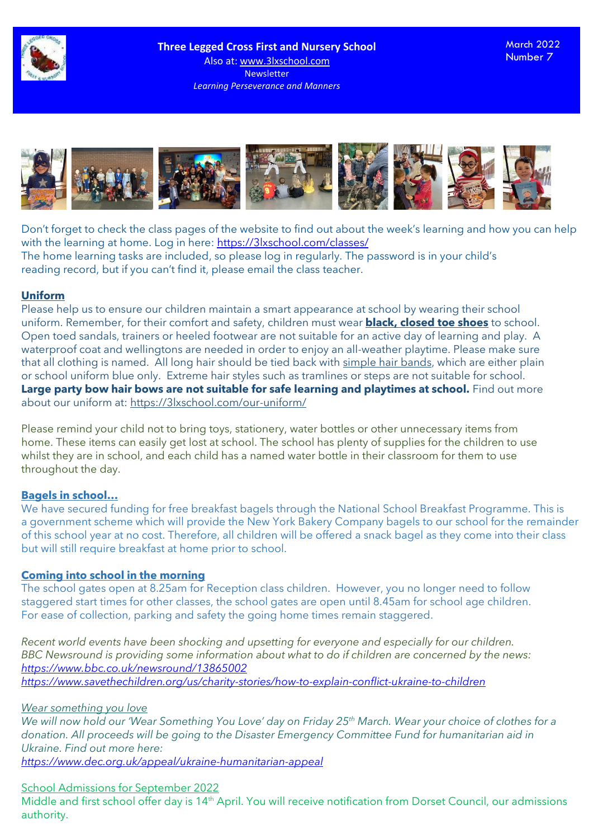

March 2022 Number 7



Don't forget to check the class pages of the website to find out about the week's learning and how you can help with the learning at home. Log in here: <https://3lxschool.com/classes/> The home learning tasks are included, so please log in regularly. The password is in your child's reading record, but if you can't find it, please email the class teacher.

## **Uniform**

Please help us to ensure our children maintain a smart appearance at school by wearing their school uniform. Remember, for their comfort and safety, children must wear **black, closed toe shoes** to school. Open toed sandals, trainers or heeled footwear are not suitable for an active day of learning and play. A waterproof coat and wellingtons are needed in order to enjoy an all-weather playtime. Please make sure that all clothing is named. All long hair should be tied back with simple hair bands, which are either plain or school uniform blue only. Extreme hair styles such as tramlines or steps are not suitable for school. **Large party bow hair bows are not suitable for safe learning and playtimes at school.** Find out more about our uniform at:<https://3lxschool.com/our-uniform/>

Please remind your child not to bring toys, stationery, water bottles or other unnecessary items from home. These items can easily get lost at school. The school has plenty of supplies for the children to use whilst they are in school, and each child has a named water bottle in their classroom for them to use throughout the day.

# **Bagels in school…**

We have secured funding for free breakfast bagels through the National School Breakfast Programme. This is a government scheme which will provide the New York Bakery Company bagels to our school for the remainder of this school year at no cost. Therefore, all children will be offered a snack bagel as they come into their class but will still require breakfast at home prior to school.

### **Coming into school in the morning**

The school gates open at 8.25am for Reception class children. However, you no longer need to follow staggered start times for other classes, the school gates are open until 8.45am for school age children. For ease of collection, parking and safety the going home times remain staggered.

*Recent world events have been shocking and upsetting for everyone and especially for our children. BBC Newsround is providing some information about what to do if children are concerned by the news: <https://www.bbc.co.uk/newsround/13865002> <https://www.savethechildren.org/us/charity-stories/how-to-explain-conflict-ukraine-to-children>*

### *Wear something you love*

*We will now hold our 'Wear Something You Love' day on Friday 25th March. Wear your choice of clothes for a donation. All proceeds will be going to the Disaster Emergency Committee Fund for humanitarian aid in Ukraine. Find out more here: <https://www.dec.org.uk/appeal/ukraine-humanitarian-appeal>*

School Admissions for September 2022

Middle and first school offer day is 14<sup>th</sup> April. You will receive notification from Dorset Council, our admissions authority.